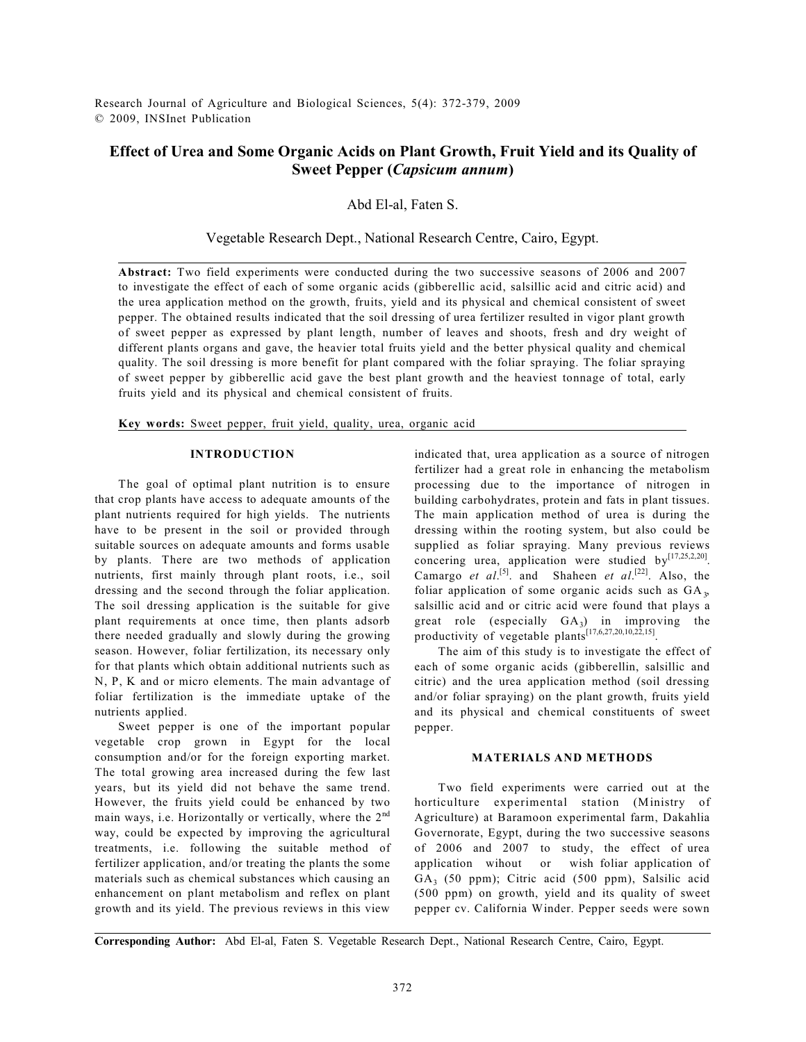Research Journal of Agriculture and Biological Sciences, 5(4): 372-379, 2009 © 2009, INSInet Publication

# **Effect of Urea and Some Organic Acids on Plant Growth, Fruit Yield and its Quality of Sweet Pepper (***Capsicum annum***)**

Abd El-al, Faten S.

Vegetable Research Dept., National Research Centre, Cairo, Egypt.

**Abstract:** Two field experiments were conducted during the two successive seasons of 2006 and 2007 to investigate the effect of each of some organic acids (gibberellic acid, salsillic acid and citric acid) and the urea application method on the growth, fruits, yield and its physical and chemical consistent of sweet pepper. The obtained results indicated that the soil dressing of urea fertilizer resulted in vigor plant growth of sweet pepper as expressed by plant length, number of leaves and shoots, fresh and dry weight of different plants organs and gave, the heavier total fruits yield and the better physical quality and chemical quality. The soil dressing is more benefit for plant compared with the foliar spraying. The foliar spraying of sweet pepper by gibberellic acid gave the best plant growth and the heaviest tonnage of total, early fruits yield and its physical and chemical consistent of fruits.

**Key words:** Sweet pepper, fruit yield, quality, urea, organic acid

#### **INTRODUCTION**

The goal of optimal plant nutrition is to ensure that crop plants have access to adequate amounts of the plant nutrients required for high yields. The nutrients have to be present in the soil or provided through suitable sources on adequate amounts and forms usable by plants. There are two methods of application nutrients, first mainly through plant roots, i.e., soil dressing and the second through the foliar application. The soil dressing application is the suitable for give plant requirements at once time, then plants adsorb there needed gradually and slowly during the growing season. However, foliar fertilization, its necessary only for that plants which obtain additional nutrients such as N, P, K and or micro elements. The main advantage of foliar fertilization is the immediate uptake of the nutrients applied.

Sweet pepper is one of the important popular vegetable crop grown in Egypt for the local consumption and/or for the foreign exporting market. The total growing area increased during the few last years, but its yield did not behave the same trend. However, the fruits yield could be enhanced by two main ways, i.e. Horizontally or vertically, where the 2<sup>nd</sup> way, could be expected by improving the agricultural treatments, i.e. following the suitable method of fertilizer application, and/or treating the plants the some materials such as chemical substances which causing an enhancement on plant metabolism and reflex on plant growth and its yield. The previous reviews in this view

indicated that, urea application as a source of nitrogen fertilizer had a great role in enhancing the metabolism processing due to the importance of nitrogen in building carbohydrates, protein and fats in plant tissues. The main application method of urea is during the dressing within the rooting system, but also could be supplied as foliar spraying. Many previous reviews concering urea, application were studied by  $[17, 25, 2, 20]$ . Camargo *et al.*<sup>[5]</sup>. and Shaheen *et al.*<sup>[22]</sup>. Also, the foliar application of some organic acids such as  $GA_3$ , salsillic acid and or citric acid were found that plays a great role (especially GA<sub>3</sub>) in improving the productivity of vegetable plants $^{[17,6,27,20,10,22,15]}$ .

The aim of this study is to investigate the effect of each of some organic acids (gibberellin, salsillic and citric) and the urea application method (soil dressing and/or foliar spraying) on the plant growth, fruits yield and its physical and chemical constituents of sweet pepper.

### **MATERIALS AND METHODS**

Two field experiments were carried out at the horticulture experimental station (Ministry of Agriculture) at Baramoon experimental farm, Dakahlia Governorate, Egypt, during the two successive seasons of 2006 and 2007 to study, the effect of urea application wihout or wish foliar application of GA<sub>3</sub> (50 ppm); Citric acid (500 ppm), Salsilic acid (500 ppm) on growth, yield and its quality of sweet pepper cv. California Winder. Pepper seeds were sown

**Corresponding Author:** Abd El-al, Faten S. Vegetable Research Dept., National Research Centre, Cairo, Egypt.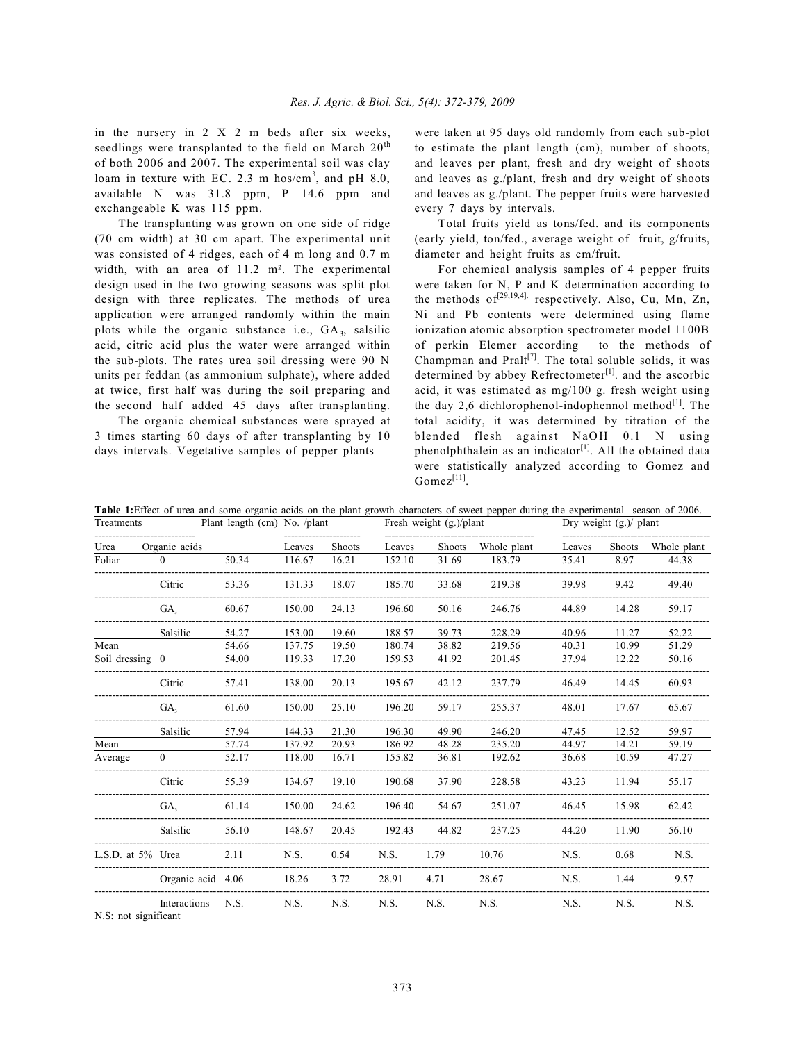in the nursery in 2 X 2 m beds after six weeks, seedlings were transplanted to the field on March  $20^{\text{th}}$ of both 2006 and 2007. The experimental soil was clay loam in texture with EC. 2.3 m hos/cm<sup>3</sup>, and pH 8.0, available N was 31.8 ppm, P 14.6 ppm and exchangeable K was 115 ppm.

The transplanting was grown on one side of ridge (70 cm width) at 30 cm apart. The experimental unit was consisted of 4 ridges, each of 4 m long and 0.7 m width, with an area of 11.2 m². The experimental design used in the two growing seasons was split plot design with three replicates. The methods of urea application were arranged randomly within the main plots while the organic substance i.e.,  $GA_3$ , salsilic acid, citric acid plus the water were arranged within the sub-plots. The rates urea soil dressing were 90 N units per feddan (as ammonium sulphate), where added at twice, first half was during the soil preparing and the second half added 45 days after transplanting.

The organic chemical substances were sprayed at 3 times starting 60 days of after transplanting by 10 days intervals. Vegetative samples of pepper plants

were taken at 95 days old randomly from each sub-plot to estimate the plant length (cm), number of shoots, and leaves per plant, fresh and dry weight of shoots and leaves as g./plant, fresh and dry weight of shoots and leaves as g./plant. The pepper fruits were harvested every 7 days by intervals.

Total fruits yield as tons/fed. and its components (early yield, ton/fed., average weight of fruit, g/fruits, diameter and height fruits as cm/fruit.

For chemical analysis samples of 4 pepper fruits were taken for N, P and K determination according to the methods of  $f^{[29,19,4]}$  respectively. Also, Cu, Mn, Zn, Ni and Pb contents were determined using flame ionization atomic absorption spectrometer model 1100B of perkin Elemer according to the methods of Champman and Pralt<sup>[7]</sup>. The total soluble solids, it was determined by abbey Refrectometer<sup>[1]</sup>. and the ascorbic acid, it was estimated as mg/100 g. fresh weight using the day 2,6 dichlorophenol-indophennol method $^{[1]}$ . The total acidity, it was determined by titration of the blended flesh against NaOH 0.1 N using phenolphthalein as an indicator<sup>[1]</sup>. All the obtained data were statistically analyzed according to Gomez and  $\mathrm{Gomez}^{[11]}.$ 

**Table 1:**Effect of urea and some organic acids on the plant growth characters of sweet pepper during the experimental season of 2006.

| Treatments                                             |                   | Plant length (cm) No. /plant |        |        |        | Fresh weight (g.)/plant |             | Dry weight $(g.)$ plant |               |             |  |
|--------------------------------------------------------|-------------------|------------------------------|--------|--------|--------|-------------------------|-------------|-------------------------|---------------|-------------|--|
| Urea                                                   | Organic acids     |                              | Leaves | Shoots | Leaves | <b>Shoots</b>           | Whole plant | Leaves                  | <b>Shoots</b> | Whole plant |  |
| Foliar<br>Mean<br>Mean<br>Average<br>L.S.D. at 5% Urea | $\theta$          | 50.34                        | 116.67 | 16.21  | 152.10 | 31.69                   | 183.79      | 35.41                   | 8.97          | 44.38       |  |
|                                                        | Citric            | 53.36                        | 131.33 | 18.07  | 185.70 | 33.68                   | 219.38      | 39.98                   | 9.42          | 49.40       |  |
|                                                        | GA <sub>3</sub>   | 60.67                        | 150.00 | 24.13  | 196.60 | 50.16                   | 246.76      | 44.89                   | 14.28         | 59.17       |  |
|                                                        | Salsilic          | 54.27                        | 153.00 | 19.60  | 188.57 | 39.73                   | 228.29      | 40.96                   | 11.27         | 52.22       |  |
|                                                        |                   | 54.66                        | 137.75 | 19.50  | 180.74 | 38.82                   | 219.56      | 40.31                   | 10.99         | 51.29       |  |
| Soil dressing 0                                        |                   | 54.00                        | 119.33 | 17.20  | 159.53 | 41.92                   | 201.45      | 37.94                   | 12.22         | 50.16       |  |
|                                                        | Citric            | 57.41                        | 138.00 | 20.13  | 195.67 | 42.12                   | 237.79      | 46.49                   | 14.45         | 60.93       |  |
|                                                        | GA <sub>2</sub>   | 61.60                        | 150.00 | 25.10  | 196.20 | 59.17                   | 255.37      | 48.01                   | 17.67         | 65.67       |  |
|                                                        | Salsilic          | 57.94                        | 144.33 | 21.30  | 196.30 | 49.90                   | 246.20      | 47.45                   | 12.52         | 59.97       |  |
|                                                        |                   | 57.74                        | 137.92 | 20.93  | 186.92 | 48.28                   | 235.20      | 44.97                   | 14.21         | 59.19       |  |
|                                                        | $\mathbf{0}$      | 52.17                        | 118.00 | 16.71  | 155.82 | 36.81                   | 192.62      | 36.68                   | 10.59         | 47.27       |  |
|                                                        | Citric            | 55.39                        | 134.67 | 19.10  | 190.68 | 37.90                   | 228.58      | 43.23                   | 11.94         | 55.17       |  |
|                                                        | GA <sub>2</sub>   | 61.14                        | 150.00 | 24.62  | 196.40 | 54.67                   | 251.07      | 46.45                   | 15.98         | 62.42       |  |
|                                                        | Salsilic          | 56.10                        | 148.67 | 20.45  | 192.43 | 44.82                   | 237.25      | 44.20                   | 11.90         | 56.10       |  |
|                                                        |                   | 2.11                         | N.S.   | 0.54   | N.S.   | 1.79                    | 10.76       | N.S.                    | 0.68          | N.S.        |  |
|                                                        | Organic acid 4.06 |                              | 18.26  | 3.72   | 28.91  | 4.71                    | 28.67       | N.S.                    | 1.44          | 9.57        |  |
|                                                        | Interactions      | N.S.                         | N.S.   | N.S.   | N.S.   | N.S.                    | N.S.        | N.S.                    | N.S.          | N.S.        |  |
|                                                        |                   |                              |        |        |        |                         |             |                         |               |             |  |

N.S: not significant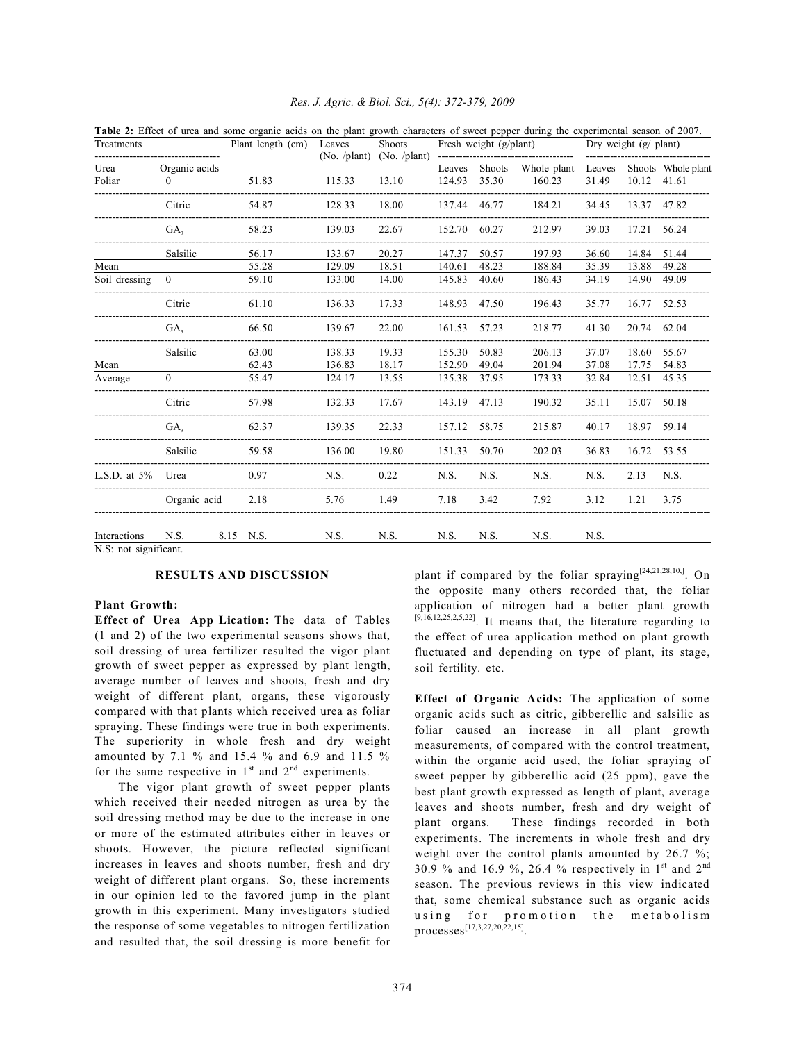| Treatments      |                                                                                                                                                                                                                                                                                                                                     | Plant length (cm) | Leaves       | <b>Shoots</b> |        | Fresh weight (g/plant) |             | Dry weight $(g/$ plant) |             |                    |
|-----------------|-------------------------------------------------------------------------------------------------------------------------------------------------------------------------------------------------------------------------------------------------------------------------------------------------------------------------------------|-------------------|--------------|---------------|--------|------------------------|-------------|-------------------------|-------------|--------------------|
| Urea            | <b>Table 2:</b> Effect of urea and some organic acids on the plant growth characters of sweet pepper during the experimental season of 2007.<br>Organic acids<br>0<br>Citric<br>GA <sub>2</sub><br>Salsilic<br>$\overline{0}$<br>Citric<br>GA <sub>3</sub><br>Salsilic<br>$\Omega$<br>Citric<br>GA <sub>3</sub><br>Salsilic<br>Urea |                   | (No. /plant) | (No. /plant)  | Leaves | Shoots                 | Whole plant | Leaves                  |             | Shoots Whole plant |
| Foliar          |                                                                                                                                                                                                                                                                                                                                     | 51.83             | 115.33       | 13.10         | 124.93 | 35.30                  | 160.23      | 31.49                   | 10.12       | 41.61              |
|                 |                                                                                                                                                                                                                                                                                                                                     | 54.87             | 128.33       | 18.00         | 137.44 | 46.77                  | 184.21      | 34.45                   | 13.37 47.82 |                    |
|                 |                                                                                                                                                                                                                                                                                                                                     | 58.23             | 139.03       | 22.67         | 152.70 | 60.27                  | 212.97      | 39.03                   | 17.21 56.24 |                    |
|                 |                                                                                                                                                                                                                                                                                                                                     | 56.17             | 133.67       | 20.27         | 147.37 | 50.57                  | 197.93      | 36.60                   | 14.84       | 51.44              |
| Mean            |                                                                                                                                                                                                                                                                                                                                     | 55.28             | 129.09       | 18.51         | 140.61 | 48.23                  | 188.84      | 35.39                   | 13.88       | 49.28              |
| Soil dressing   |                                                                                                                                                                                                                                                                                                                                     | 59.10             | 133.00       | 14.00         | 145.83 | 40.60                  | 186.43      | 34.19                   | 14.90       | 49.09              |
|                 |                                                                                                                                                                                                                                                                                                                                     | 61.10             | 136.33       | 17.33         | 148.93 | 47.50                  | 196.43      | 35.77                   | 16.77       | 52.53              |
|                 |                                                                                                                                                                                                                                                                                                                                     | 66.50             | 139.67       | 22.00         | 161.53 | 57.23                  | 218.77      | 41.30                   | 20.74       | 62.04              |
|                 |                                                                                                                                                                                                                                                                                                                                     | 63.00             | 138.33       | 19.33         | 155.30 | 50.83                  | 206.13      | 37.07                   | 18.60       | 55.67              |
| Mean            |                                                                                                                                                                                                                                                                                                                                     | 62.43             | 136.83       | 18.17         | 152.90 | 49.04                  | 201.94      | 37.08                   | 17.75       | 54.83              |
| Average         |                                                                                                                                                                                                                                                                                                                                     | 55.47             | 124.17       | 13.55         | 135.38 | 37.95                  | 173.33      | 32.84                   | 12.51       | 45.35              |
|                 |                                                                                                                                                                                                                                                                                                                                     | 57.98             | 132.33       | 17.67         | 143.19 | 47.13                  | 190.32      | 35.11                   | 15.07       | 50.18              |
|                 |                                                                                                                                                                                                                                                                                                                                     | 62.37             | 139.35       | 22.33         | 157.12 | 58.75                  | 215.87      | 40.17                   | 18.97       | 59.14              |
|                 |                                                                                                                                                                                                                                                                                                                                     | 59.58             | 136.00       | 19.80         | 151.33 | 50.70                  | 202.03      | 36.83                   | 16.72       | 53.55              |
| L.S.D. at $5\%$ |                                                                                                                                                                                                                                                                                                                                     | 0.97              | N.S.         | 0.22          | N.S.   | N.S.                   | N.S.        | N.S.                    | 2.13        | N.S.               |
|                 | Organic acid                                                                                                                                                                                                                                                                                                                        | 2.18              | 5.76         | 1.49          | 7.18   | 3.42                   | 7.92        | 3.12                    | 1.21        | 3.75               |
| Interactions    | N.S.                                                                                                                                                                                                                                                                                                                                | N.S.<br>8.15      | N.S.         | N.S.          | N.S.   | N.S.                   | N.S.        | N.S.                    |             |                    |

### *Res. J. Agric. & Biol. Sci., 5(4): 372-379, 2009*

N.S: not significant.

### **RESULTS AND DISCUSSION**

## **Plant Growth:**

**Effect of Urea App Lication:** The data of Tables (1 and 2) of the two experimental seasons shows that, soil dressing of urea fertilizer resulted the vigor plant growth of sweet pepper as expressed by plant length, average number of leaves and shoots, fresh and dry weight of different plant, organs, these vigorously compared with that plants which received urea as foliar spraying. These findings were true in both experiments. The superiority in whole fresh and dry weight amounted by 7.1 % and 15.4 % and 6.9 and 11.5 % for the same respective in  $1<sup>st</sup>$  and  $2<sup>nd</sup>$  experiments.

The vigor plant growth of sweet pepper plants which received their needed nitrogen as urea by the soil dressing method may be due to the increase in one or more of the estimated attributes either in leaves or shoots. However, the picture reflected significant increases in leaves and shoots number, fresh and dry weight of different plant organs. So, these increments in our opinion led to the favored jump in the plant growth in this experiment. Many investigators studied the response of some vegetables to nitrogen fertilization and resulted that, the soil dressing is more benefit for

plant if compared by the foliar spraying  $[24,21,28,10,]$ . On the opposite many others recorded that, the foliar application of nitrogen had a better plant growth  $[9,16,12,25,2,5,22]$ . It means that, the literature regarding to the effect of urea application method on plant growth fluctuated and depending on type of plant, its stage, soil fertility. etc.

**Effect of Organic Acids:** The application of some organic acids such as citric, gibberellic and salsilic as foliar caused an increase in all plant growth measurements, of compared with the control treatment, within the organic acid used, the foliar spraying of sweet pepper by gibberellic acid (25 ppm), gave the best plant growth expressed as length of plant, average leaves and shoots number, fresh and dry weight of plant organs. These findings recorded in both experiments. The increments in whole fresh and dry weight over the control plants amounted by 26.7 %; 30.9 % and 16.9 %, 26.4 % respectively in 1<sup>st</sup> and 2<sup>nd</sup> season. The previous reviews in this view indicated that, some chemical substance such as organic acids using for promotion the metabolism processes<sup>[17,3,27,20,22,15]</sup>.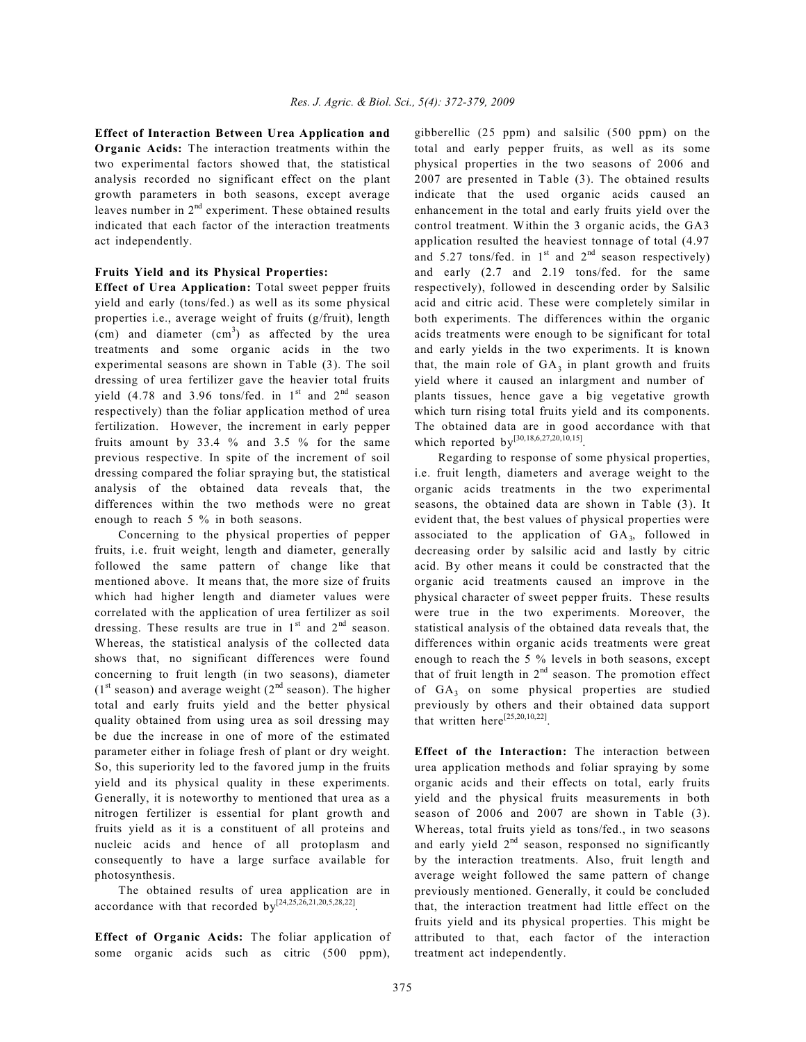**Effect of Interaction Between Urea Application and Organic Acids:** The interaction treatments within the two experimental factors showed that, the statistical analysis recorded no significant effect on the plant growth parameters in both seasons, except average leaves number in  $2^{nd}$  experiment. These obtained results indicated that each factor of the interaction treatments act independently.

### **Fruits Yield and its Physical Properties:**

**Effect of Urea Application:** Total sweet pepper fruits yield and early (tons/fed.) as well as its some physical properties i.e., average weight of fruits (g/fruit), length (cm) and diameter  $(cm^3)$  as affected by the urea treatments and some organic acids in the two experimental seasons are shown in Table (3). The soil dressing of urea fertilizer gave the heavier total fruits yield (4.78 and 3.96 tons/fed. in  $1<sup>st</sup>$  and  $2<sup>nd</sup>$  season respectively) than the foliar application method of urea fertilization. However, the increment in early pepper fruits amount by 33.4 % and 3.5 % for the same previous respective. In spite of the increment of soil dressing compared the foliar spraying but, the statistical analysis of the obtained data reveals that, the differences within the two methods were no great enough to reach 5 % in both seasons.

Concerning to the physical properties of pepper fruits, i.e. fruit weight, length and diameter, generally followed the same pattern of change like that mentioned above. It means that, the more size of fruits which had higher length and diameter values were correlated with the application of urea fertilizer as soil dressing. These results are true in  $1<sup>st</sup>$  and  $2<sup>nd</sup>$  season. Whereas, the statistical analysis of the collected data shows that, no significant differences were found concerning to fruit length (in two seasons), diameter  $(1<sup>st</sup> season)$  and average weight  $(2<sup>nd</sup> season)$ . The higher total and early fruits yield and the better physical quality obtained from using urea as soil dressing may be due the increase in one of more of the estimated parameter either in foliage fresh of plant or dry weight. So, this superiority led to the favored jump in the fruits yield and its physical quality in these experiments. Generally, it is noteworthy to mentioned that urea as a nitrogen fertilizer is essential for plant growth and fruits yield as it is a constituent of all proteins and nucleic acids and hence of all protoplasm and consequently to have a large surface available for photosynthesis.

The obtained results of urea application are in accordance with that recorded by  $[24, 25, 26, 21, 20, 5, 28, 22]$ .

**Effect of Organic Acids:** The foliar application of some organic acids such as citric (500 ppm), gibberellic (25 ppm) and salsilic (500 ppm) on the total and early pepper fruits, as well as its some physical properties in the two seasons of 2006 and 2007 are presented in Table (3). The obtained results indicate that the used organic acids caused an enhancement in the total and early fruits yield over the control treatment. Within the 3 organic acids, the GA3 application resulted the heaviest tonnage of total (4.97 and 5.27 tons/fed. in  $1<sup>st</sup>$  and  $2<sup>nd</sup>$  season respectively) and early (2.7 and 2.19 tons/fed. for the same respectively), followed in descending order by Salsilic acid and citric acid. These were completely similar in both experiments. The differences within the organic acids treatments were enough to be significant for total and early yields in the two experiments. It is known that, the main role of  $GA_3$  in plant growth and fruits yield where it caused an inlargment and number of plants tissues, hence gave a big vegetative growth which turn rising total fruits yield and its components. The obtained data are in good accordance with that which reported by  $[30, 18, 6, 27, 20, 10, 15]$ .

Regarding to response of some physical properties, i.e. fruit length, diameters and average weight to the organic acids treatments in the two experimental seasons, the obtained data are shown in Table (3). It evident that, the best values of physical properties were associated to the application of  $GA_3$ , followed in decreasing order by salsilic acid and lastly by citric acid. By other means it could be constracted that the organic acid treatments caused an improve in the physical character of sweet pepper fruits. These results were true in the two experiments. Moreover, the statistical analysis of the obtained data reveals that, the differences within organic acids treatments were great enough to reach the 5 % levels in both seasons, except that of fruit length in  $2<sup>nd</sup>$  season. The promotion effect of GA<sub>3</sub> on some physical properties are studied previously by others and their obtained data support that written here $^{[25,20,10,22]}$ .

**Effect of the Interaction:** The interaction between urea application methods and foliar spraying by some organic acids and their effects on total, early fruits yield and the physical fruits measurements in both season of 2006 and 2007 are shown in Table (3). Whereas, total fruits yield as tons/fed., in two seasons and early yield 2<sup>nd</sup> season, responsed no significantly by the interaction treatments. Also, fruit length and average weight followed the same pattern of change previously mentioned. Generally, it could be concluded that, the interaction treatment had little effect on the fruits yield and its physical properties. This might be attributed to that, each factor of the interaction treatment act independently.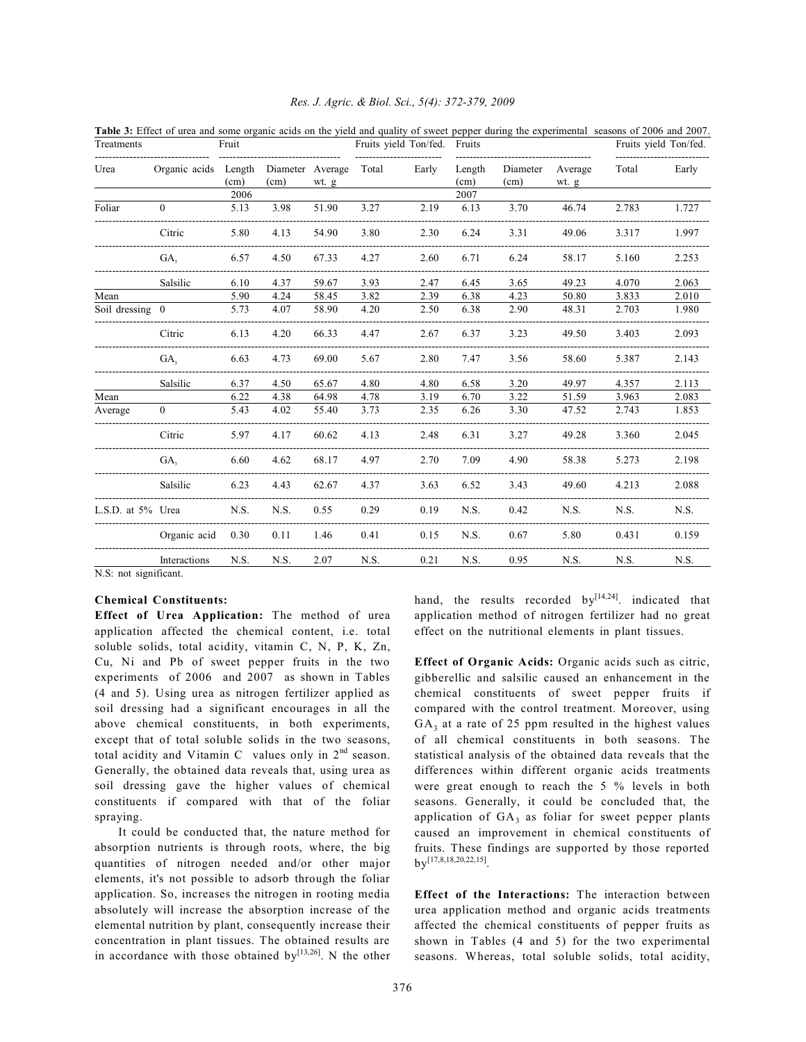| Treatments        | Table 3: Effect of urea and some organic acids on the yield and quality of sweet pepper during the experimental seasons of 2006 and 2007. | Fruit          |                          |       |       | Fruits yield Ton/fed. | Fruits         |                  |                  |       | Fruits yield Ton/fed. |
|-------------------|-------------------------------------------------------------------------------------------------------------------------------------------|----------------|--------------------------|-------|-------|-----------------------|----------------|------------------|------------------|-------|-----------------------|
| Urea              | Organic acids                                                                                                                             | Length<br>(cm) | Diameter Average<br>(cm) | wt. g | Total | Early                 | Length<br>(cm) | Diameter<br>(cm) | Average<br>wt. g | Total | Early                 |
|                   |                                                                                                                                           | 2006           |                          |       |       |                       | 2007           |                  |                  |       |                       |
| Foliar            | $\mathbf{0}$                                                                                                                              | 5.13           | 3.98                     | 51.90 | 3.27  | 2.19                  | 6.13           | 3.70             | 46.74            | 2.783 | 1.727                 |
|                   | Citric                                                                                                                                    | 5.80           | 4.13                     | 54.90 | 3.80  | 2.30                  | 6.24           | 3.31             | 49.06            | 3.317 | 1.997                 |
|                   | GA <sub>3</sub>                                                                                                                           | 6.57           | 4.50                     | 67.33 | 4.27  | 2.60                  | 6.71           | 6.24             | 58.17            | 5.160 | 2.253                 |
|                   | Salsilic                                                                                                                                  | 6.10           | 4.37                     | 59.67 | 3.93  | 2.47                  | 6.45           | 3.65             | 49.23            | 4.070 | 2.063                 |
| Mean              |                                                                                                                                           | 5.90           | 4.24                     | 58.45 | 3.82  | 2.39                  | 6.38           | 4.23             | 50.80            | 3.833 | 2.010                 |
| Soil dressing 0   |                                                                                                                                           | 5.73           | 4.07                     | 58.90 | 4.20  | 2.50                  | 6.38           | 2.90             | 48.31            | 2.703 | 1.980                 |
|                   | Citric                                                                                                                                    | 6.13           | 4.20                     | 66.33 | 4.47  | 2.67                  | 6.37           | 3.23             | 49.50            | 3.403 | 2.093                 |
|                   | GA <sub>3</sub>                                                                                                                           | 6.63           | 4.73                     | 69.00 | 5.67  | 2.80                  | 7.47           | 3.56             | 58.60            | 5.387 | 2.143                 |
|                   | Salsilic                                                                                                                                  | 6.37           | 4.50                     | 65.67 | 4.80  | 4.80                  | 6.58           | 3.20             | 49.97            | 4.357 | 2.113                 |
| Mean              |                                                                                                                                           | 6.22           | 4.38                     | 64.98 | 4.78  | 3.19                  | 6.70           | 3.22             | 51.59            | 3.963 | 2.083                 |
| Average           | $\mathbf{0}$                                                                                                                              | 5.43           | 4.02                     | 55.40 | 3.73  | 2.35                  | 6.26           | 3.30             | 47.52            | 2.743 | 1.853                 |
|                   | Citric                                                                                                                                    | 5.97           | 4.17                     | 60.62 | 4.13  | 2.48                  | 6.31           | 3.27             | 49.28            | 3.360 | 2.045                 |
|                   | GA,                                                                                                                                       | 6.60           | 4.62                     | 68.17 | 4.97  | 2.70                  | 7.09           | 4.90             | 58.38            | 5.273 | 2.198                 |
|                   | Salsilic                                                                                                                                  | 6.23           | 4.43                     | 62.67 | 4.37  | 3.63                  | 6.52           | 3.43             | 49.60            | 4.213 | 2.088                 |
| L.S.D. at 5% Urea |                                                                                                                                           | N.S.           | N.S.                     | 0.55  | 0.29  | 0.19                  | N.S.           | 0.42             | N.S.             | N.S.  | N.S.                  |
|                   | Organic acid                                                                                                                              | 0.30           | 0.11                     | 1.46  | 0.41  | 0.15                  | N.S.           | 0.67             | 5.80             | 0.431 | 0.159                 |
|                   | Interactions                                                                                                                              | N.S.           | N.S.                     | 2.07  | N.S.  | 0.21                  | N.S.           | 0.95             | N.S.             | N.S.  | N.S.                  |

### *Res. J. Agric. & Biol. Sci., 5(4): 372-379, 2009*

N.S: not significant.

### **Chemical Constituents:**

**Effect of Urea Application:** The method of urea application affected the chemical content, i.e. total soluble solids, total acidity, vitamin C, N, P, K, Zn, Cu, Ni and Pb of sweet pepper fruits in the two experiments of 2006 and 2007 as shown in Tables (4 and 5). Using urea as nitrogen fertilizer applied as soil dressing had a significant encourages in all the above chemical constituents, in both experiments, except that of total soluble solids in the two seasons, total acidity and Vitamin C values only in  $2<sup>nd</sup>$  season. Generally, the obtained data reveals that, using urea as soil dressing gave the higher values of chemical constituents if compared with that of the foliar spraying.

It could be conducted that, the nature method for absorption nutrients is through roots, where, the big quantities of nitrogen needed and/or other major elements, it's not possible to adsorb through the foliar application. So, increases the nitrogen in rooting media absolutely will increase the absorption increase of the elemental nutrition by plant, consequently increase their concentration in plant tissues. The obtained results are in accordance with those obtained by  $[13,26]$ . N the other

hand, the results recorded  $by^{[14,24]}$  indicated that application method of nitrogen fertilizer had no great effect on the nutritional elements in plant tissues.

**Effect of Organic Acids:** Organic acids such as citric, gibberellic and salsilic caused an enhancement in the chemical constituents of sweet pepper fruits if compared with the control treatment. Moreover, using  $GA<sub>3</sub>$  at a rate of 25 ppm resulted in the highest values of all chemical constituents in both seasons. The statistical analysis of the obtained data reveals that the differences within different organic acids treatments were great enough to reach the 5 % levels in both seasons. Generally, it could be concluded that, the application of  $GA_3$  as foliar for sweet pepper plants caused an improvement in chemical constituents of fruits. These findings are supported by those reported  $by {}^{[17,8,18,20,22,15]}.$ 

**Effect of the Interactions:** The interaction between urea application method and organic acids treatments affected the chemical constituents of pepper fruits as shown in Tables (4 and 5) for the two experimental seasons. Whereas, total soluble solids, total acidity,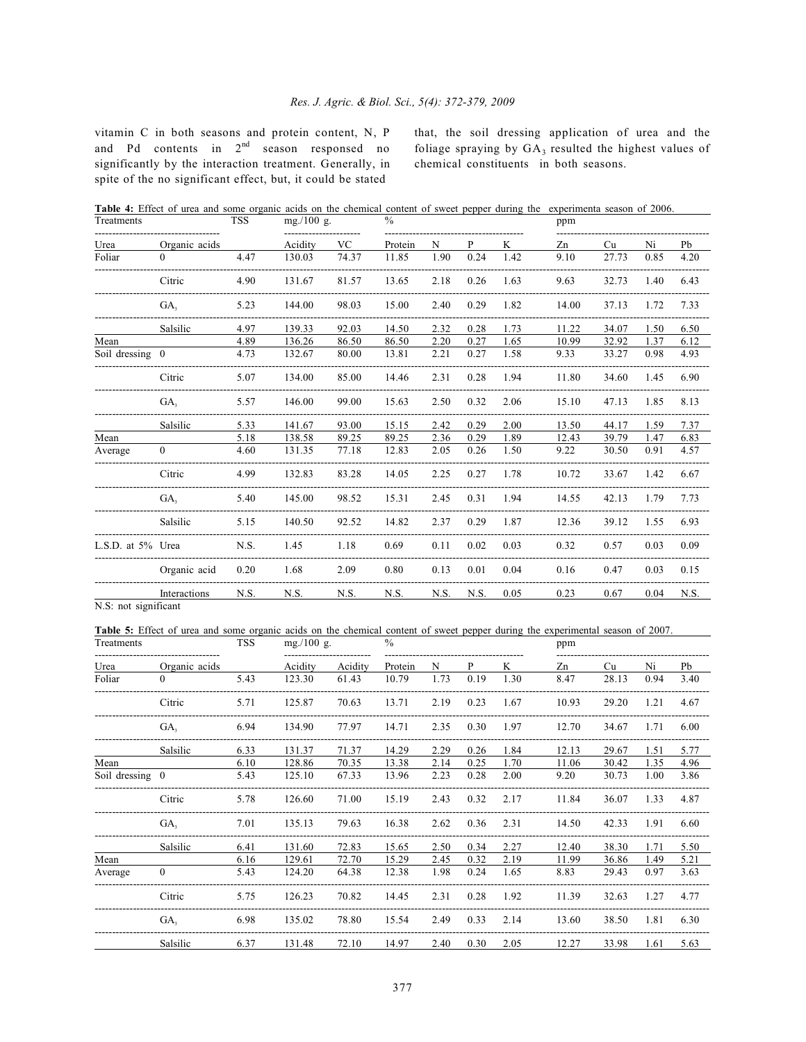vitamin C in both seasons and protein content, N, P and Pd contents in  $2<sup>nd</sup>$  season responsed no significantly by the interaction treatment. Generally, in spite of the no significant effect, but, it could be stated

that, the soil dressing application of urea and the foliage spraying by  $GA_3$  resulted the highest values of chemical constituents in both seasons.

**Table 4:** Effect of urea and some organic acids on the chemical content of sweet pepper during the experimenta season of 2006.

| Treatments           |                                                                                                                                | <b>TSS</b> | mg./100 g. |       | $\frac{0}{0}$ |      |      |      | ppm   |       |      |      |
|----------------------|--------------------------------------------------------------------------------------------------------------------------------|------------|------------|-------|---------------|------|------|------|-------|-------|------|------|
| Urea                 | Organic acids                                                                                                                  |            | Acidity    | VC    | Protein       | N    | P    | K    | Zn    | Cu    | Ni   | Pb   |
| Foliar               | $\Omega$                                                                                                                       | 4.47       | 130.03     | 74.37 | 11.85         | 1.90 | 0.24 | 1.42 | 9.10  | 27.73 | 0.85 | 4.20 |
|                      | Citric                                                                                                                         | 4.90       | 131.67     | 81.57 | 13.65         | 2.18 | 0.26 | 1.63 | 9.63  | 32.73 | 1.40 | 6.43 |
|                      | GA,                                                                                                                            | 5.23       | 144.00     | 98.03 | 15.00         | 2.40 | 0.29 | 1.82 | 14.00 | 37.13 | 1.72 | 7.33 |
|                      | Salsilic                                                                                                                       | 4.97       | 139.33     | 92.03 | 14.50         | 2.32 | 0.28 | 1.73 | 11.22 | 34.07 | 1.50 | 6.50 |
| Mean                 |                                                                                                                                | 4.89       | 136.26     | 86.50 | 86.50         | 2.20 | 0.27 | 1.65 | 10.99 | 32.92 | 1.37 | 6.12 |
| Soil dressing 0      |                                                                                                                                | 4.73       | 132.67     | 80.00 | 13.81         | 2.21 | 0.27 | 1.58 | 9.33  | 33.27 | 0.98 | 4.93 |
|                      | Citric                                                                                                                         | 5.07       | 134.00     | 85.00 | 14.46         | 2.31 | 0.28 | 1.94 | 11.80 | 34.60 | 1.45 | 6.90 |
|                      | GA,                                                                                                                            | 5.57       | 146.00     | 99.00 | 15.63         | 2.50 | 0.32 | 2.06 | 15.10 | 47.13 | 1.85 | 8.13 |
|                      | Salsilic                                                                                                                       | 5.33       | 141.67     | 93.00 | 15.15         | 2.42 | 0.29 | 2.00 | 13.50 | 44.17 | 1.59 | 7.37 |
| Mean                 |                                                                                                                                | 5.18       | 138.58     | 89.25 | 89.25         | 2.36 | 0.29 | 1.89 | 12.43 | 39.79 | 1.47 | 6.83 |
| Average              | $\mathbf{0}$                                                                                                                   | 4.60       | 131.35     | 77.18 | 12.83         | 2.05 | 0.26 | 1.50 | 9.22  | 30.50 | 0.91 | 4.57 |
|                      | Citric                                                                                                                         | 4.99       | 132.83     | 83.28 | 14.05         | 2.25 | 0.27 | 1.78 | 10.72 | 33.67 | 1.42 | 6.67 |
|                      | GA <sub>3</sub>                                                                                                                | 5.40       | 145.00     | 98.52 | 15.31         | 2.45 | 0.31 | 1.94 | 14.55 | 42.13 | 1.79 | 7.73 |
|                      | Salsilic                                                                                                                       | 5.15       | 140.50     | 92.52 | 14.82         | 2.37 | 0.29 | 1.87 | 12.36 | 39.12 | 1.55 | 6.93 |
| L.S.D. at 5% Urea    |                                                                                                                                | N.S.       | 1.45       | 1.18  | 0.69          | 0.11 | 0.02 | 0.03 | 0.32  | 0.57  | 0.03 | 0.09 |
|                      | Organic acid                                                                                                                   | 0.20       | 1.68       | 2.09  | 0.80          | 0.13 | 0.01 | 0.04 | 0.16  | 0.47  | 0.03 | 0.15 |
|                      | Interactions                                                                                                                   | N.S.       | N.S.       | N.S.  | N.S.          | N.S. | N.S. | 0.05 | 0.23  | 0.67  | 0.04 | N.S. |
| N.S: not significant |                                                                                                                                |            |            |       |               |      |      |      |       |       |      |      |
|                      | Table 5: Effect of urea and some organic acids on the chemical content of sweet pepper during the experimental season of 2007. |            |            |       |               |      |      |      |       |       |      |      |
| Treatments           |                                                                                                                                | <b>TSS</b> | mg./100 g. |       | $\frac{0}{0}$ |      |      |      | ppm   |       |      |      |

| Treatments      |                 | TSS  | mg./100 g. |         | $\%$    |      |      |      | ppm   |       |      |      |
|-----------------|-----------------|------|------------|---------|---------|------|------|------|-------|-------|------|------|
| Urea            | Organic acids   |      | Acidity    | Acidity | Protein | N    | P    | K    | Zn    | Cu    | Ni   | Pb   |
| Foliar          | $\Omega$        | 5.43 | 123.30     | 61.43   | 10.79   | 1.73 | 0.19 | 1.30 | 8.47  | 28.13 | 0.94 | 3.40 |
|                 | Citric          | 5.71 | 125.87     | 70.63   | 13.71   | 2.19 | 0.23 | 1.67 | 10.93 | 29.20 | 1.21 | 4.67 |
|                 | GA <sub>3</sub> | 6.94 | 134.90     | 77.97   | 14.71   | 2.35 | 0.30 | 1.97 | 12.70 | 34.67 | 1.71 | 6.00 |
|                 | Salsilic        | 6.33 | 131.37     | 71.37   | 14.29   | 2.29 | 0.26 | 1.84 | 12.13 | 29.67 | 1.51 | 5.77 |
| Mean            |                 | 6.10 | 128.86     | 70.35   | 13.38   | 2.14 | 0.25 | 1.70 | 11.06 | 30.42 | 1.35 | 4.96 |
| Soil dressing 0 |                 | 5.43 | 125.10     | 67.33   | 13.96   | 2.23 | 0.28 | 2.00 | 9.20  | 30.73 | 1.00 | 3.86 |
|                 | Citric          | 5.78 | 126.60     | 71.00   | 15.19   | 2.43 | 0.32 | 2.17 | 11.84 | 36.07 | 1.33 | 4.87 |
|                 | GA <sub>3</sub> | 7.01 | 135.13     | 79.63   | 16.38   | 2.62 | 0.36 | 2.31 | 14.50 | 42.33 | 1.91 | 6.60 |
|                 | Salsilic        | 6.41 | 131.60     | 72.83   | 15.65   | 2.50 | 0.34 | 2.27 | 12.40 | 38.30 | 1.71 | 5.50 |
| Mean            |                 | 6.16 | 129.61     | 72.70   | 15.29   | 2.45 | 0.32 | 2.19 | 11.99 | 36.86 | 1.49 | 5.21 |
| Average         | $\theta$        | 5.43 | 124.20     | 64.38   | 12.38   | 1.98 | 0.24 | 1.65 | 8.83  | 29.43 | 0.97 | 3.63 |
|                 | Citric          | 5.75 | 126.23     | 70.82   | 14.45   | 2.31 | 0.28 | 1.92 | 11.39 | 32.63 | 1.27 | 4.77 |
|                 | GA <sub>3</sub> | 6.98 | 135.02     | 78.80   | 15.54   | 2.49 | 0.33 | 2.14 | 13.60 | 38.50 | 1.81 | 6.30 |
|                 | Salsilic        | 6.37 | 131.48     | 72.10   | 14.97   | 2.40 | 0.30 | 2.05 | 12.27 | 33.98 | 1.61 | 5.63 |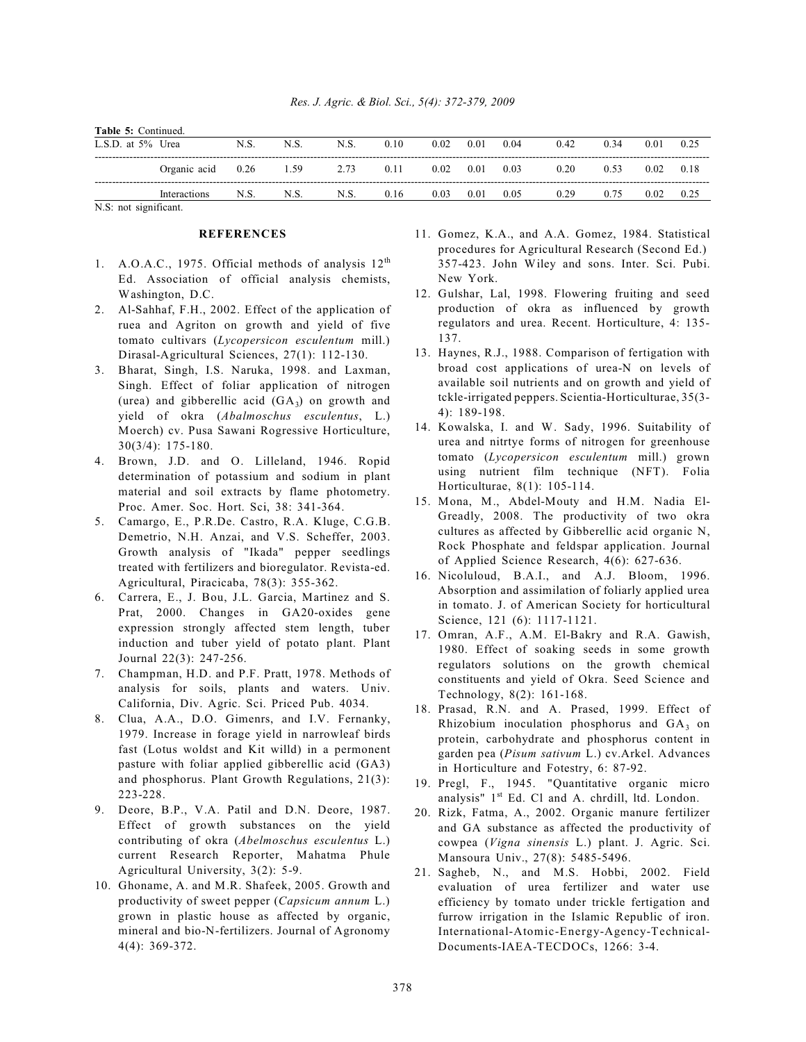| Res. J. Agric. & Biol. Sci., 5(4): 372-379, 2009 |  |  |  |  |  |
|--------------------------------------------------|--|--|--|--|--|
|--------------------------------------------------|--|--|--|--|--|

**Table 5:** Continued.

| --------------------- |              |      |        |      |      |      |      |      |       |      |      |      |
|-----------------------|--------------|------|--------|------|------|------|------|------|-------|------|------|------|
| L.S.D. at $5\%$ Urea  |              | N.S. | N.S.   | N.S. | 0.10 | 0.02 | 0.01 | 0.04 | 0.42  | 9.34 | 0.01 |      |
|                       | Organic acid | 0.26 | . . 59 | 2.73 |      | 0.02 | 0.01 | 0.03 | 0.20  | 0.53 | 0.02 | 0.18 |
|                       | Interactions | N.S. | N.S.   | N.S. | 0.16 | 0.03 | 0.01 | 0.05 | D 29. |      | 0.02 |      |

N.S: not significant.

### **REFERENCES**

- 1. A.O.A.C., 1975. Official methods of analysis  $12<sup>th</sup>$ Ed. Association of official analysis chemists, Washington, D.C.
- 2. Al-Sahhaf, F.H., 2002. Effect of the application of ruea and Agriton on growth and yield of five tomato cultivars (*Lycopersicon esculentum* mill.) Dirasal-Agricultural Sciences, 27(1): 112-130.
- 3. Bharat, Singh, I.S. Naruka, 1998. and Laxman, Singh. Effect of foliar application of nitrogen (urea) and gibberellic acid  $(GA_3)$  on growth and yield of okra (*Abalmoschus esculentus*, L.) Moerch) cv. Pusa Sawani Rogressive Horticulture, 30(3/4): 175-180.
- 4. Brown, J.D. and O. Lilleland, 1946. Ropid determination of potassium and sodium in plant material and soil extracts by flame photometry. Proc. Amer. Soc. Hort. Sci, 38: 341-364.
- 5. Camargo, E., P.R.De. Castro, R.A. Kluge, C.G.B. Demetrio, N.H. Anzai, and V.S. Scheffer, 2003. Growth analysis of "Ikada" pepper seedlings treated with fertilizers and bioregulator. Revista-ed. Agricultural, Piracicaba, 78(3): 355-362.
- 6. Carrera, E., J. Bou, J.L. Garcia, Martinez and S. Prat, 2000. Changes in GA20-oxides gene expression strongly affected stem length, tuber induction and tuber yield of potato plant. Plant Journal 22(3): 247-256.
- 7. Champman, H.D. and P.F. Pratt, 1978. Methods of analysis for soils, plants and waters. Univ. California, Div. Agric. Sci. Priced Pub. 4034.
- 8. Clua, A.A., D.O. Gimenrs, and I.V. Fernanky, 1979. Increase in forage yield in narrowleaf birds fast (Lotus woldst and Kit willd) in a permonent pasture with foliar applied gibberellic acid (GA3) and phosphorus. Plant Growth Regulations, 21(3): 223-228.
- 9. Deore, B.P., V.A. Patil and D.N. Deore, 1987. Effect of growth substances on the yield contributing of okra (*Abelmoschus esculentus* L.) current Research Reporter, Mahatma Phule Agricultural University, 3(2): 5-9.
- 10. Ghoname, A. and M.R. Shafeek, 2005. Growth and productivity of sweet pepper (*Capsicum annum* L.) grown in plastic house as affected by organic, mineral and bio-N-fertilizers. Journal of Agronomy 4(4): 369-372.
- 11. Gomez, K.A., and A.A. Gomez, 1984. Statistical procedures for Agricultural Research (Second Ed.) 357-423. John Wiley and sons. Inter. Sci. Pubi. New York.
- 12. Gulshar, Lal, 1998. Flowering fruiting and seed production of okra as influenced by growth regulators and urea. Recent. Horticulture, 4: 135- 137.
- 13. Haynes, R.J., 1988. Comparison of fertigation with broad cost applications of urea-N on levels of available soil nutrients and on growth and yield of tckle-irrigated peppers. Scientia-Horticulturae, 35(3- 4): 189-198.
- 14. Kowalska, I. and W. Sady, 1996. Suitability of urea and nitrtye forms of nitrogen for greenhouse tomato (*Lycopersicon esculentum* mill.) grown using nutrient film technique (NFT). Folia Horticulturae, 8(1): 105-114.
- 15. Mona, M., Abdel-Mouty and H.M. Nadia El-Greadly, 2008. The productivity of two okra cultures as affected by Gibberellic acid organic N, Rock Phosphate and feldspar application. Journal of Applied Science Research, 4(6): 627-636.
- 16. Nicoluloud, B.A.I., and A.J. Bloom, 1996. Absorption and assimilation of foliarly applied urea in tomato. J. of American Society for horticultural Science, 121 (6): 1117-1121.
- 17. Omran, A.F., A.M. El-Bakry and R.A. Gawish, 1980. Effect of soaking seeds in some growth regulators solutions on the growth chemical constituents and yield of Okra. Seed Science and Technology, 8(2): 161-168.
- 18. Prasad, R.N. and A. Prased, 1999. Effect of Rhizobium inoculation phosphorus and  $GA_3$  on protein, carbohydrate and phosphorus content in garden pea (*Pisum sativum* L.) cv.Arkel. Advances in Horticulture and Fotestry, 6: 87-92.
- 19. Pregl, F., 1945. "Quantitative organic micro analysis" 1<sup>st</sup> Ed. Cl and A. chrdill, ltd. London.
- 20. Rizk, Fatma, A., 2002. Organic manure fertilizer and GA substance as affected the productivity of cowpea (*Vigna sinensis* L.) plant. J. Agric. Sci. Mansoura Univ., 27(8): 5485-5496.
- 21. Sagheb, N., and M.S. Hobbi, 2002. Field evaluation of urea fertilizer and water use efficiency by tomato under trickle fertigation and furrow irrigation in the Islamic Republic of iron. International-Atomic-Energy-Agency-Technical-Documents-IAEA-TECDOCs, 1266: 3-4.